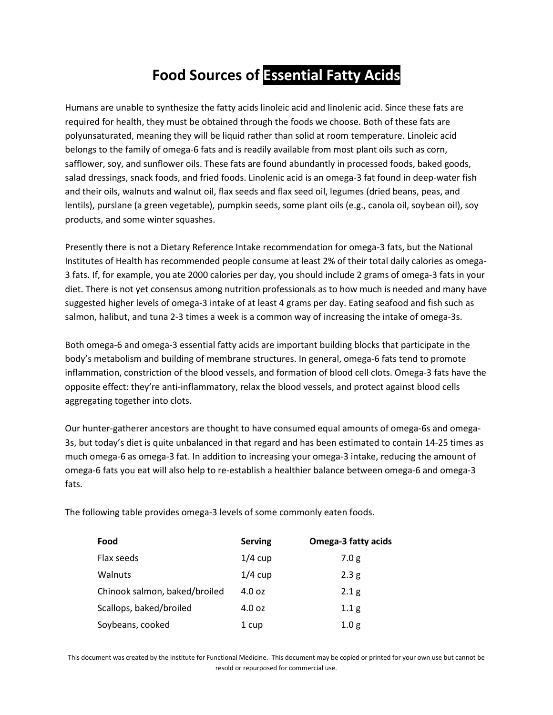## **Food Sources of Essential Fatty Acids**

Humans are unable to synthesize the fatty acids linoleic acid and linolenic acid. Since these fats are required for health, they must be obtained through the foods we choose. Both of these fats are polyunsaturated, meaning they will be liquid rather than solid at room temperature. Linoleic acid belongs to the family of omega-6 fats and is readily available from most plant oils such as corn, safflower, soy, and sunflower oils. These fats are found abundantly in processed foods, baked goods, salad dressings, snack foods, and fried foods. Linolenic acid is an omega-3 fat found in deep-water fish and their oils, walnuts and walnut oil, flax seeds and flax seed oil, legumes (dried beans, peas, and lentils), purslane (a green vegetable), pumpkin seeds, some plant oils (e.g., canola oil, soybean oil), soy products, and some winter squashes.

Presently there is not a Dietary Reference Intake recommendation for omega-3 fats, but the National Institutes of Health has recommended people consume at least 2% of their total daily calories as omega-3 fats. If, for example, you ate 2000 calories per day, you should include 2 grams of omega-3 fats in your diet. There is not yet consensus among nutrition professionals as to how much is needed and many have suggested higher levels of omega-3 intake of at least 4 grams per day. Eating seafood and fish such as salmon, halibut, and tuna 2-3 times a week is a common way of increasing the intake of omega-3s.

Both omega-6 and omega-3 essential fatty acids are important building blocks that participate in the body's metabolism and building of membrane structures. In general, omega-6 fats tend to promote inflammation, constriction of the blood vessels, and formation of blood cell clots. Omega-3 fats have the opposite effect: they're anti-inflammatory, relax the blood vessels, and protect against blood cells aggregating together into clots.

Our hunter-gatherer ancestors are thought to have consumed equal amounts of omega-6s and omega-3s, but today's diet is quite unbalanced in that regard and has been estimated to contain 14-25 times as much omega-6 as omega-3 fat. In addition to increasing your omega-3 intake, reducing the amount of omega-6 fats you eat will also help to re-establish a healthier balance between omega-6 and omega-3 fats.

The following table provides omega-3 levels of some commonly eaten foods.

| <b>Food</b>                   | <b>Serving</b> | <b>Omega-3 fatty acids</b> |
|-------------------------------|----------------|----------------------------|
| Flax seeds                    | $1/4$ cup      | 7.0 <sub>g</sub>           |
| Walnuts                       | $1/4$ cup      | 2.3 <sub>g</sub>           |
| Chinook salmon, baked/broiled | 4.0 oz         | 2.1 <sub>g</sub>           |
| Scallops, baked/broiled       | 4.0 oz         | 1.1 <sub>g</sub>           |
| Soybeans, cooked              | 1 cup          | 1.0 <sub>g</sub>           |

This document was created by the Institute for Functional Medicine. This document may be copied or printed for your own use but cannot be resold or repurposed for commercial use.